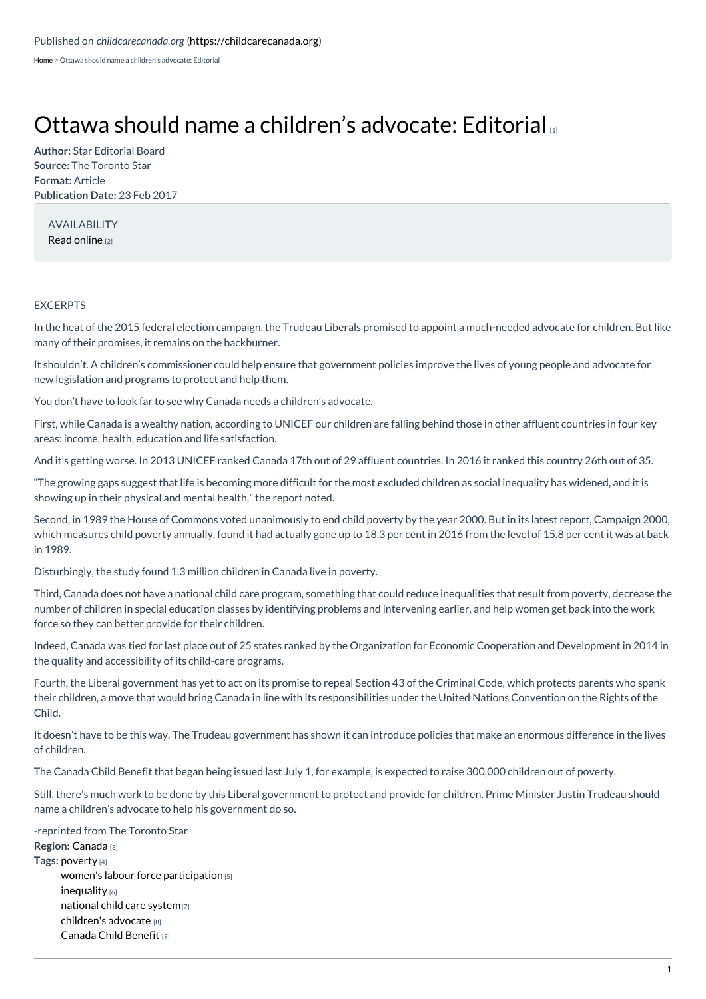[Home](https://childcarecanada.org/) > Ottawa should name a children's advocate: Editorial

## Ottawa should name a children's [advocate:](https://childcarecanada.org/documents/child-care-news/17/03/ottawa-should-name-children%25E2%2580%2599s-advocate-editorial) Editorial [1]

**Author:** Star Editorial Board **Source:** The Toronto Star **Format:** Article **Publication Date:** 23 Feb 2017

AVAILABILITY Read [online](https://www.thestar.com/opinion/editorials/2017/02/23/ottawa-should-name-a-childrens-advocate-editorial.html) [2]

## EXCERPTS

In the heat of the 2015 federal election campaign, the Trudeau Liberals promised to appoint a much-needed advocate for children. But like many of their promises, it remains on the backburner.

It shouldn't. A children's commissioner could help ensure that government policies improve the lives of young people and advocate for new legislation and programs to protect and help them.

You don't have to look far to see why Canada needs a children's advocate.

First, while Canada is a wealthy nation, according to UNICEF our children are falling behind those in other affluent countries in four key areas: income, health, education and life satisfaction.

And it's getting worse. In 2013 UNICEF ranked Canada 17th out of 29 affluent countries. In 2016 it ranked this country 26th out of 35.

"The growing gaps suggest that life is becoming more difficult for the most excluded children as social inequality has widened, and it is showing up in their physical and mental health," the report noted.

Second, in 1989 the House of Commons voted unanimously to end child poverty by the year 2000. But in its latest report, Campaign 2000, which measures child poverty annually, found it had actually gone up to 18.3 per cent in 2016 from the level of 15.8 per cent it was at back in 1989.

Disturbingly, the study found 1.3 million children in Canada live in poverty.

Third, Canada does not have a national child care program, something that could reduce inequalities that result from poverty, decrease the number of children in special education classes by identifying problems and intervening earlier, and help women get back into the work force so they can better provide for their children.

Indeed, Canada was tied for last place out of 25 states ranked by the Organization for Economic Cooperation and Development in 2014 in the quality and accessibility of its child-care programs.

Fourth, the Liberal government has yet to act on its promise to repeal Section 43 of the Criminal Code, which protects parents who spank their children, a move that would bring Canada in line with its responsibilities under the United Nations Convention on the Rights of the Child.

It doesn't have to be this way. The Trudeau government has shown it can introduce policies that make an enormous difference in the lives of children.

The Canada Child Benefit that began being issued last July 1, for example, is expected to raise 300,000 children out of poverty.

Still, there's much work to be done by this Liberal government to protect and provide for children. Prime Minister Justin Trudeau should name a children's advocate to help his government do so.

**Region:** [Canada](https://childcarecanada.org/taxonomy/term/7864) [3] **Tags:** [poverty](https://childcarecanada.org/category/tags/poverty) [4] women's labour force [participation](https://childcarecanada.org/category/tags/womens-labour-force-participation) [5] [inequality](https://childcarecanada.org/category/tags/inequality-0) [6] [national](https://childcarecanada.org/category/tags/national-child-care-system) child care system[7] [children's](https://childcarecanada.org/category/tags/childrens-advocate) advocate [8] [Canada](https://childcarecanada.org/category/tags/canada-child-benefit) Child Benefit [9] -reprinted from The Toronto Star